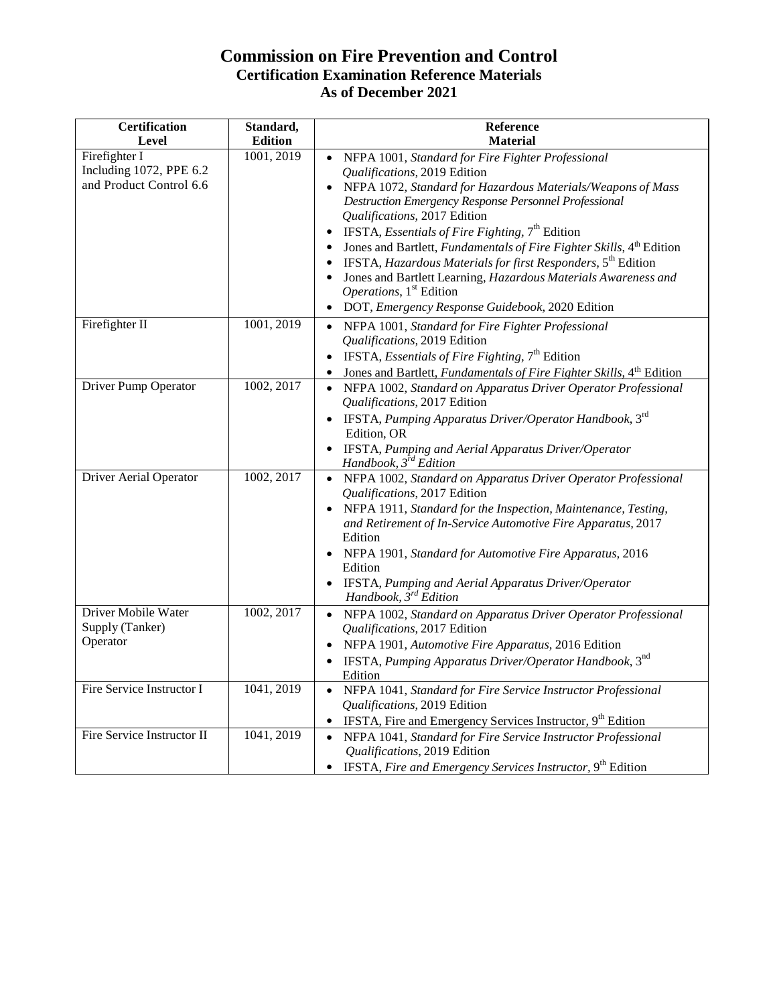## **Commission on Fire Prevention and Control Certification Examination Reference Materials As of December 2021**

| <b>Certification</b><br>Level                                       | Standard,<br><b>Edition</b> | Reference<br><b>Material</b>                                                                                                                                                                                                                                                                                                                                                                                                                                                                                                                                                                                                     |
|---------------------------------------------------------------------|-----------------------------|----------------------------------------------------------------------------------------------------------------------------------------------------------------------------------------------------------------------------------------------------------------------------------------------------------------------------------------------------------------------------------------------------------------------------------------------------------------------------------------------------------------------------------------------------------------------------------------------------------------------------------|
| Firefighter I<br>Including 1072, PPE 6.2<br>and Product Control 6.6 | 1001, 2019                  | NFPA 1001, Standard for Fire Fighter Professional<br>Qualifications, 2019 Edition<br>• NFPA 1072, Standard for Hazardous Materials/Weapons of Mass<br>Destruction Emergency Response Personnel Professional<br>Qualifications, 2017 Edition<br><b>IFSTA</b> , <i>Essentials of Fire Fighting</i> , $7th$ Edition<br>Jones and Bartlett, Fundamentals of Fire Fighter Skills, 4th Edition<br>IFSTA, Hazardous Materials for first Responders, 5 <sup>th</sup> Edition<br>Jones and Bartlett Learning, Hazardous Materials Awareness and<br>Operations, 1 <sup>st</sup> Edition<br>DOT, Emergency Response Guidebook, 2020 Edition |
| Firefighter II                                                      | 1001, 2019                  | NFPA 1001, Standard for Fire Fighter Professional<br>Qualifications, 2019 Edition<br>IFSTA, <i>Essentials of Fire Fighting</i> , $7th$ Edition<br>$\bullet$<br>Jones and Bartlett, Fundamentals of Fire Fighter Skills, 4 <sup>th</sup> Edition                                                                                                                                                                                                                                                                                                                                                                                  |
| Driver Pump Operator                                                | 1002, 2017                  | NFPA 1002, Standard on Apparatus Driver Operator Professional<br>Qualifications, 2017 Edition<br>IFSTA, Pumping Apparatus Driver/Operator Handbook, 3rd<br>$\bullet$<br>Edition, OR<br>IFSTA, Pumping and Aerial Apparatus Driver/Operator<br>Handbook, 3 <sup>rd</sup> Edition                                                                                                                                                                                                                                                                                                                                                  |
| Driver Aerial Operator                                              | 1002, 2017                  | NFPA 1002, Standard on Apparatus Driver Operator Professional<br>Qualifications, 2017 Edition<br>NFPA 1911, Standard for the Inspection, Maintenance, Testing,<br>$\bullet$<br>and Retirement of In-Service Automotive Fire Apparatus, 2017<br>Edition<br>NFPA 1901, Standard for Automotive Fire Apparatus, 2016<br>Edition<br>IFSTA, Pumping and Aerial Apparatus Driver/Operator<br>Handbook, $3^{rd}$ Edition                                                                                                                                                                                                                |
| Driver Mobile Water<br>Supply (Tanker)<br>Operator                  | 1002, 2017                  | NFPA 1002, Standard on Apparatus Driver Operator Professional<br>$\bullet$<br>Qualifications, 2017 Edition<br>NFPA 1901, Automotive Fire Apparatus, 2016 Edition<br>IFSTA, Pumping Apparatus Driver/Operator Handbook, 3nd<br>Edition                                                                                                                                                                                                                                                                                                                                                                                            |
| Fire Service Instructor I                                           | 1041, 2019                  | • NFPA 1041, Standard for Fire Service Instructor Professional<br>Qualifications, 2019 Edition<br>IFSTA, Fire and Emergency Services Instructor, 9 <sup>th</sup> Edition                                                                                                                                                                                                                                                                                                                                                                                                                                                         |
| Fire Service Instructor II                                          | 1041, 2019                  | NFPA 1041, Standard for Fire Service Instructor Professional<br>$\bullet$<br>Qualifications, 2019 Edition<br>IFSTA, Fire and Emergency Services Instructor, 9 <sup>th</sup> Edition                                                                                                                                                                                                                                                                                                                                                                                                                                              |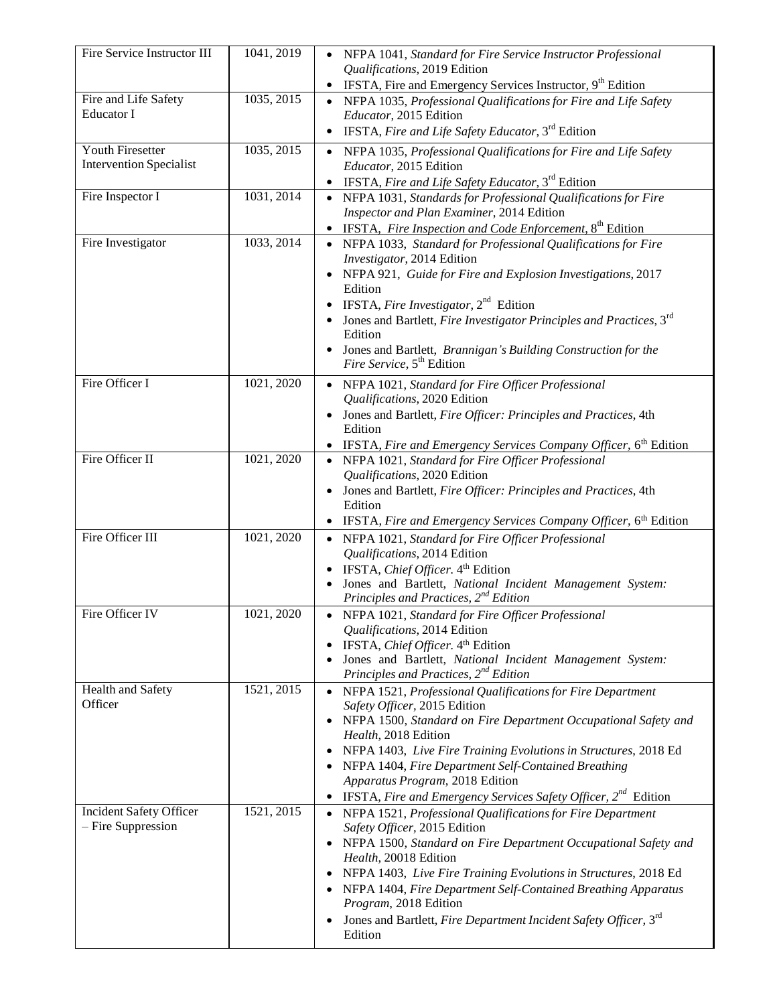| Fire Service Instructor III                            | 1041, 2019 | NFPA 1041, Standard for Fire Service Instructor Professional<br>Qualifications, 2019 Edition                           |
|--------------------------------------------------------|------------|------------------------------------------------------------------------------------------------------------------------|
|                                                        |            | IFSTA, Fire and Emergency Services Instructor, 9 <sup>th</sup> Edition                                                 |
| Fire and Life Safety<br>Educator I                     | 1035, 2015 | NFPA 1035, Professional Qualifications for Fire and Life Safety<br>Educator, 2015 Edition                              |
|                                                        |            | IFSTA, Fire and Life Safety Educator, 3 <sup>rd</sup> Edition                                                          |
| Youth Firesetter                                       | 1035, 2015 | NFPA 1035, Professional Qualifications for Fire and Life Safety                                                        |
| <b>Intervention Specialist</b>                         |            | Educator, 2015 Edition<br><b>IFSTA, Fire and Life Safety Educator, 3<sup>rd</sup> Edition</b>                          |
| Fire Inspector I                                       | 1031, 2014 | NFPA 1031, Standards for Professional Qualifications for Fire                                                          |
|                                                        |            | Inspector and Plan Examiner, 2014 Edition<br>IFSTA, Fire Inspection and Code Enforcement, 8 <sup>th</sup> Edition      |
| Fire Investigator                                      | 1033, 2014 | NFPA 1033, Standard for Professional Qualifications for Fire                                                           |
|                                                        |            | Investigator, 2014 Edition                                                                                             |
|                                                        |            | NFPA 921, Guide for Fire and Explosion Investigations, 2017<br>Edition                                                 |
|                                                        |            | IFSTA, Fire Investigator, $2^{nd}$ Edition                                                                             |
|                                                        |            | Jones and Bartlett, Fire Investigator Principles and Practices, 3rd                                                    |
|                                                        |            | Edition<br>Jones and Bartlett, Brannigan's Building Construction for the                                               |
|                                                        |            | Fire Service, 5 <sup>th</sup> Edition                                                                                  |
| Fire Officer I                                         | 1021, 2020 | NFPA 1021, Standard for Fire Officer Professional<br>Qualifications, 2020 Edition                                      |
|                                                        |            | Jones and Bartlett, Fire Officer: Principles and Practices, 4th                                                        |
|                                                        |            | Edition                                                                                                                |
| Fire Officer II                                        | 1021, 2020 | IFSTA, Fire and Emergency Services Company Officer, 6 <sup>th</sup> Edition                                            |
|                                                        |            | • NFPA 1021, Standard for Fire Officer Professional<br>Qualifications, 2020 Edition                                    |
|                                                        |            | Jones and Bartlett, Fire Officer: Principles and Practices, 4th                                                        |
|                                                        |            | Edition                                                                                                                |
| Fire Officer III                                       |            | IFSTA, Fire and Emergency Services Company Officer, 6 <sup>th</sup> Edition                                            |
|                                                        | 1021, 2020 | NFPA 1021, Standard for Fire Officer Professional<br>Qualifications, 2014 Edition                                      |
|                                                        |            | IFSTA, Chief Officer. 4 <sup>th</sup> Edition                                                                          |
|                                                        |            | Jones and Bartlett, National Incident Management System:                                                               |
| Fire Officer IV                                        | 1021, 2020 | Principles and Practices, 2 <sup>nd</sup> Edition                                                                      |
|                                                        |            | NFPA 1021, Standard for Fire Officer Professional<br>Qualifications, 2014 Edition                                      |
|                                                        |            | IFSTA, Chief Officer. 4 <sup>th</sup> Edition                                                                          |
|                                                        |            | Jones and Bartlett, National Incident Management System:                                                               |
| Health and Safety                                      | 1521, 2015 | Principles and Practices, 2 <sup>nd</sup> Edition                                                                      |
| Officer                                                |            | NFPA 1521, Professional Qualifications for Fire Department<br>Safety Officer, 2015 Edition                             |
|                                                        |            | NFPA 1500, Standard on Fire Department Occupational Safety and                                                         |
|                                                        |            | Health, 2018 Edition                                                                                                   |
|                                                        |            | NFPA 1403, Live Fire Training Evolutions in Structures, 2018 Ed<br>NFPA 1404, Fire Department Self-Contained Breathing |
|                                                        |            | Apparatus Program, 2018 Edition                                                                                        |
|                                                        |            | <b>IFSTA, Fire and Emergency Services Safety Officer, 2<sup>nd</sup> Edition</b>                                       |
| <b>Incident Safety Officer</b><br>$-$ Fire Suppression | 1521, 2015 | NFPA 1521, Professional Qualifications for Fire Department                                                             |
|                                                        |            | Safety Officer, 2015 Edition<br>NFPA 1500, Standard on Fire Department Occupational Safety and                         |
|                                                        |            | Health, 20018 Edition                                                                                                  |
|                                                        |            | NFPA 1403, Live Fire Training Evolutions in Structures, 2018 Ed                                                        |
|                                                        |            | NFPA 1404, Fire Department Self-Contained Breathing Apparatus<br>Program, 2018 Edition                                 |
|                                                        |            | Jones and Bartlett, Fire Department Incident Safety Officer, 3rd                                                       |
|                                                        |            | Edition                                                                                                                |